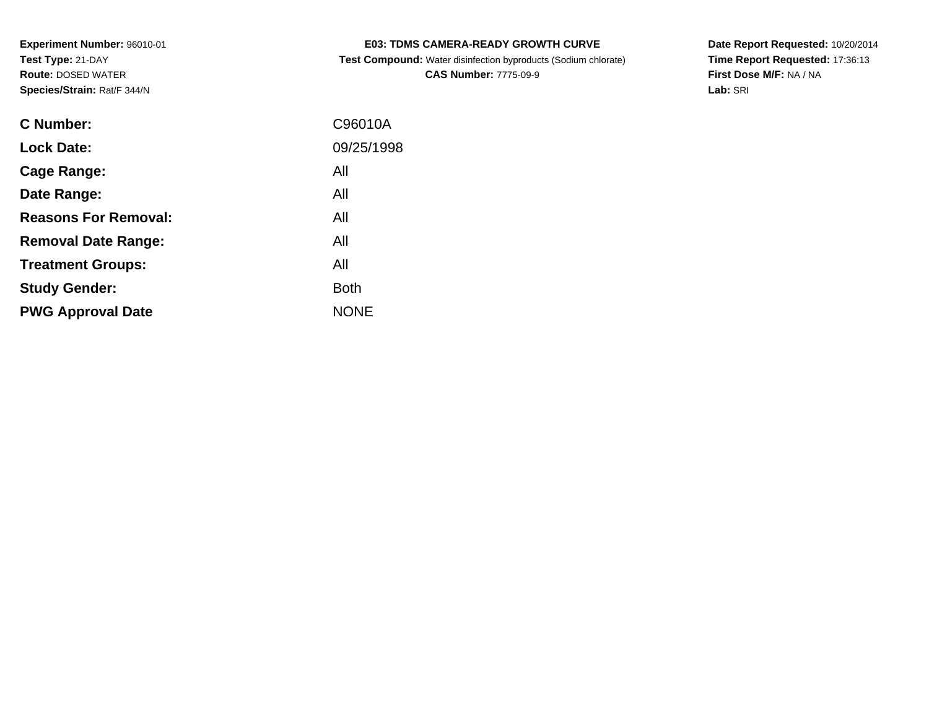| C Number:                   | C96010A     |
|-----------------------------|-------------|
| <b>Lock Date:</b>           | 09/25/1998  |
| Cage Range:                 | All         |
| Date Range:                 | All         |
| <b>Reasons For Removal:</b> | All         |
| <b>Removal Date Range:</b>  | All         |
| <b>Treatment Groups:</b>    | All         |
| <b>Study Gender:</b>        | <b>Both</b> |
| <b>PWG Approval Date</b>    | <b>NONE</b> |

# **E03: TDMS CAMERA-READY GROWTH CURVE**

 **Test Compound:** Water disinfection byproducts (Sodium chlorate)**CAS Number:** 7775-09-9

**Date Report Requested:** 10/20/2014 **Time Report Requested:** 17:36:13**First Dose M/F:** NA / NA**Lab:** SRI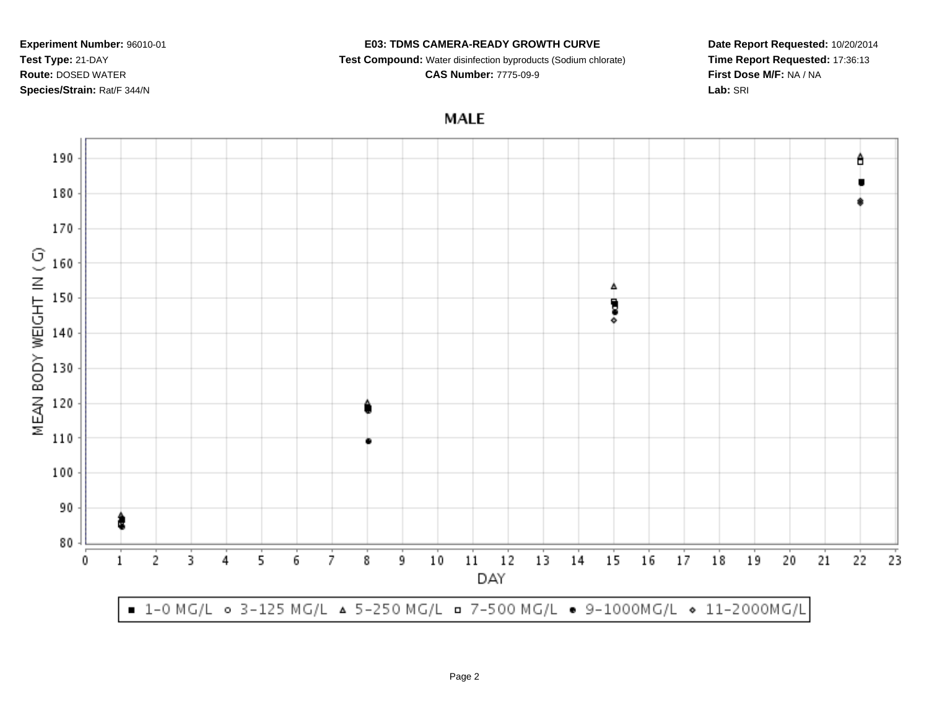### **E03: TDMS CAMERA-READY GROWTH CURVE**

**Test Compound:** Water disinfection byproducts (Sodium chlorate)

**CAS Number:** 7775-09-9

**Date Report Requested:** 10/20/2014**Time Report Requested:** 17:36:13**First Dose M/F:** NA / NA**Lab:** SRI

**MALE** 

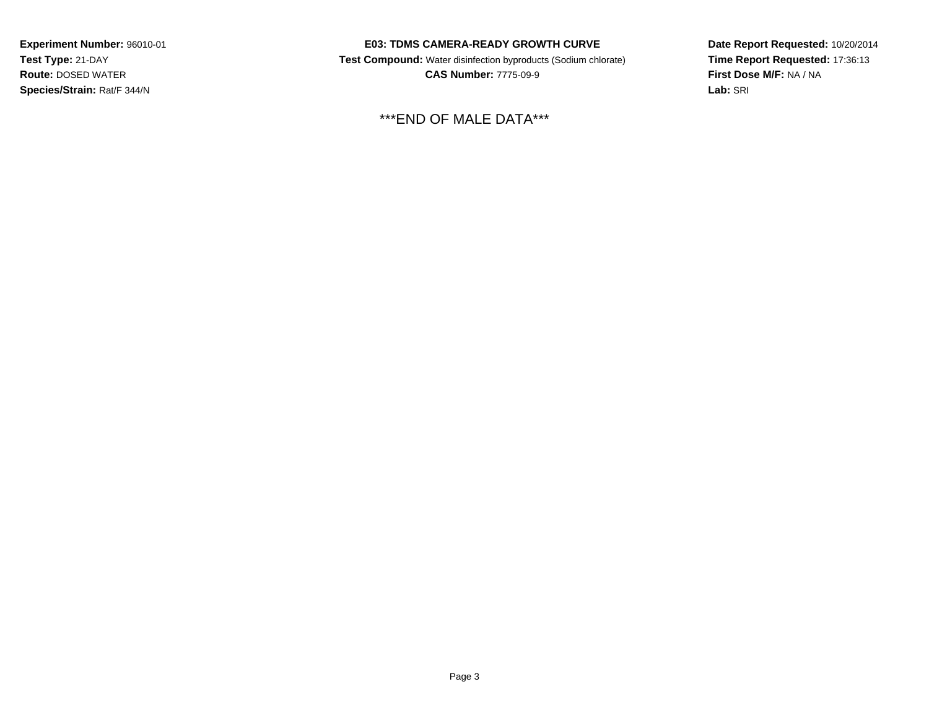### **E03: TDMS CAMERA-READY GROWTH CURVE**

 **Test Compound:** Water disinfection byproducts (Sodium chlorate) **CAS Number:** 7775-09-9

\*\*\*END OF MALE DATA\*\*\*

**Date Report Requested:** 10/20/2014**Time Report Requested:** 17:36:13**First Dose M/F:** NA / NA**Lab:** SRI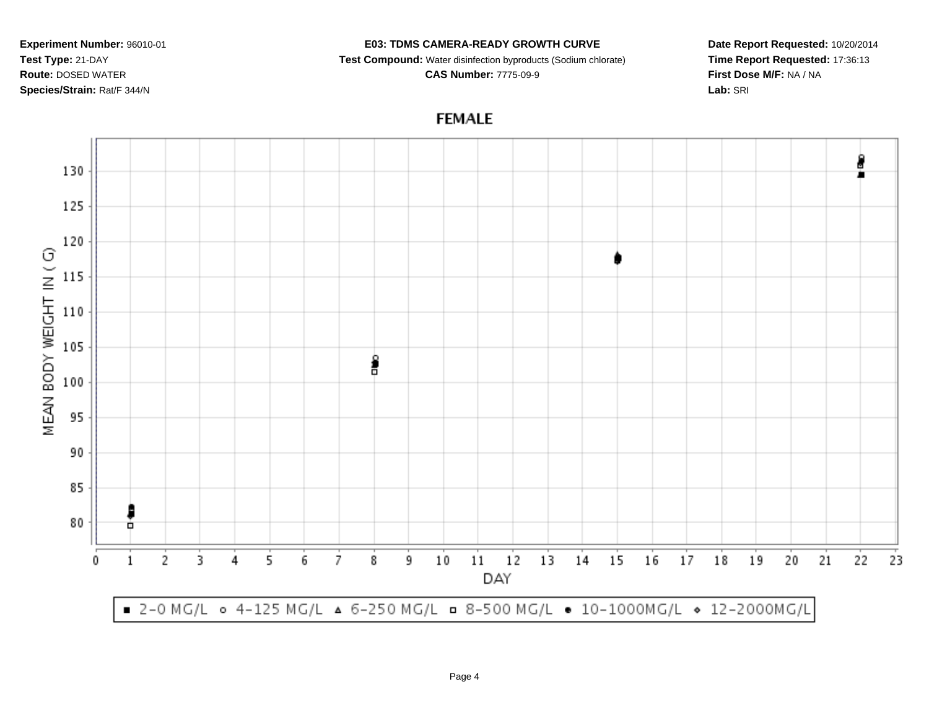### **E03: TDMS CAMERA-READY GROWTH CURVE**

**Test Compound:** Water disinfection byproducts (Sodium chlorate)

**CAS Number:** 7775-09-9

**Date Report Requested:** 10/20/2014**Time Report Requested:** 17:36:13**First Dose M/F:** NA / NA**Lab:** SRI

**FEMALE**